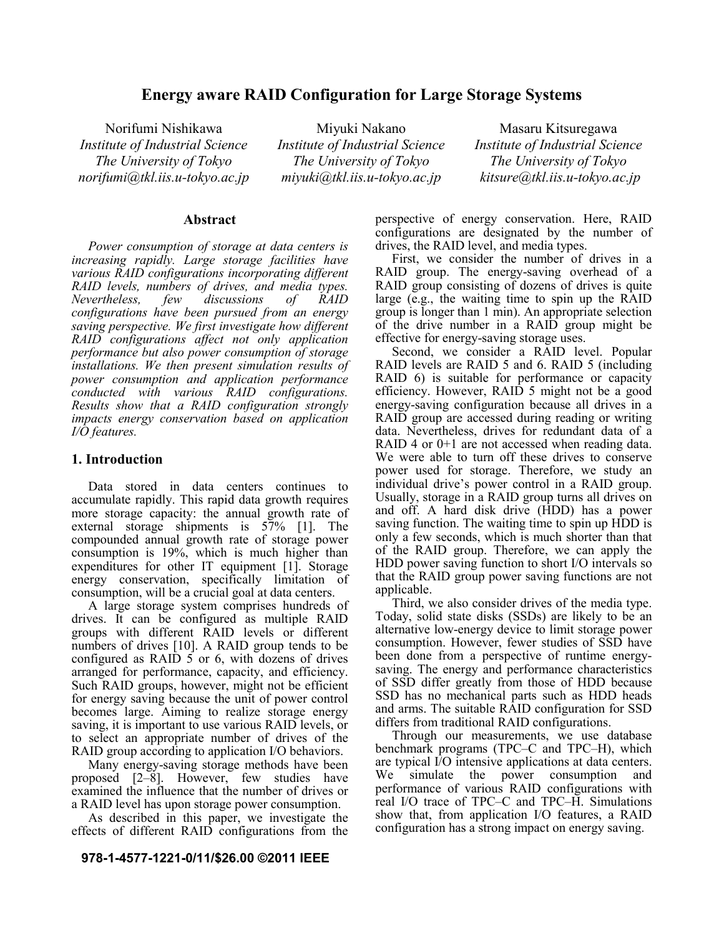# **Energy aware RAID Configuration for Large Storage Systems**

Norifumi Nishikawa *Institute of Industrial Science The University of Tokyo norifumi@tkl.iis.u-tokyo.ac.jp*

Miyuki Nakano *Institute of Industrial Science The University of Tokyo miyuki@tkl.iis.u-tokyo.ac.jp*

Masaru Kitsuregawa *Institute of Industrial Science The University of Tokyo kitsure@tkl.iis.u-tokyo.ac.jp*

# **Abstract**

*Power consumption of storage at data centers is increasing rapidly. Large storage facilities have various RAID configurations incorporating different RAID levels, numbers of drives, and media types. Nevertheless, few discussions of RAID configurations have been pursued from an energy saving perspective. We first investigate how different RAID configurations affect not only application performance but also power consumption of storage installations. We then present simulation results of power consumption and application performance conducted with various RAID configurations. Results show that a RAID configuration strongly impacts energy conservation based on application I/O features.*

# **1. Introduction**

Data stored in data centers continues to accumulate rapidly. This rapid data growth requires more storage capacity: the annual growth rate of external storage shipments is 57% [1]. The compounded annual growth rate of storage power consumption is 19%, which is much higher than expenditures for other IT equipment [1]. Storage energy conservation, specifically limitation of consumption, will be a crucial goal at data centers.

A large storage system comprises hundreds of drives. It can be configured as multiple RAID groups with different RAID levels or different numbers of drives [10]. A RAID group tends to be configured as RAID 5 or 6, with dozens of drives arranged for performance, capacity, and efficiency. Such RAID groups, however, might not be efficient for energy saving because the unit of power control becomes large. Aiming to realize storage energy saving, it is important to use various RAID levels, or to select an appropriate number of drives of the RAID group according to application I/O behaviors.

Many energy-saving storage methods have been proposed [2–8]. However, few studies have examined the influence that the number of drives or a RAID level has upon storage power consumption.

As described in this paper, we investigate the effects of different RAID configurations from the

#### **978-1-4577-1221-0/11/\$26.00 ©2011 IEEE**

perspective of energy conservation. Here, RAID configurations are designated by the number of drives, the RAID level, and media types.

First, we consider the number of drives in a RAID group. The energy-saving overhead of a RAID group consisting of dozens of drives is quite large (e.g., the waiting time to spin up the RAID group is longer than 1 min). An appropriate selection of the drive number in a RAID group might be effective for energy-saving storage uses.

Second, we consider a RAID level. Popular RAID levels are RAID 5 and 6. RAID 5 (including RAID 6) is suitable for performance or capacity efficiency. However, RAID 5 might not be a good energy-saving configuration because all drives in a RAID group are accessed during reading or writing data. Nevertheless, drives for redundant data of a RAID 4 or 0+1 are not accessed when reading data. We were able to turn off these drives to conserve power used for storage. Therefore, we study an individual drive's power control in a RAID group. Usually, storage in a RAID group turns all drives on and off. A hard disk drive (HDD) has a power saving function. The waiting time to spin up HDD is only a few seconds, which is much shorter than that of the RAID group. Therefore, we can apply the HDD power saving function to short I/O intervals so that the RAID group power saving functions are not applicable.

Third, we also consider drives of the media type. Today, solid state disks (SSDs) are likely to be an alternative low-energy device to limit storage power consumption. However, fewer studies of SSD have been done from a perspective of runtime energysaving. The energy and performance characteristics of SSD differ greatly from those of HDD because SSD has no mechanical parts such as HDD heads and arms. The suitable RAID configuration for SSD differs from traditional RAID configurations.

Through our measurements, we use database benchmark programs (TPC–C and TPC–H), which are typical I/O intensive applications at data centers. We simulate the power consumption and performance of various RAID configurations with real I/O trace of TPC–C and TPC–H. Simulations show that, from application I/O features, a RAID configuration has a strong impact on energy saving.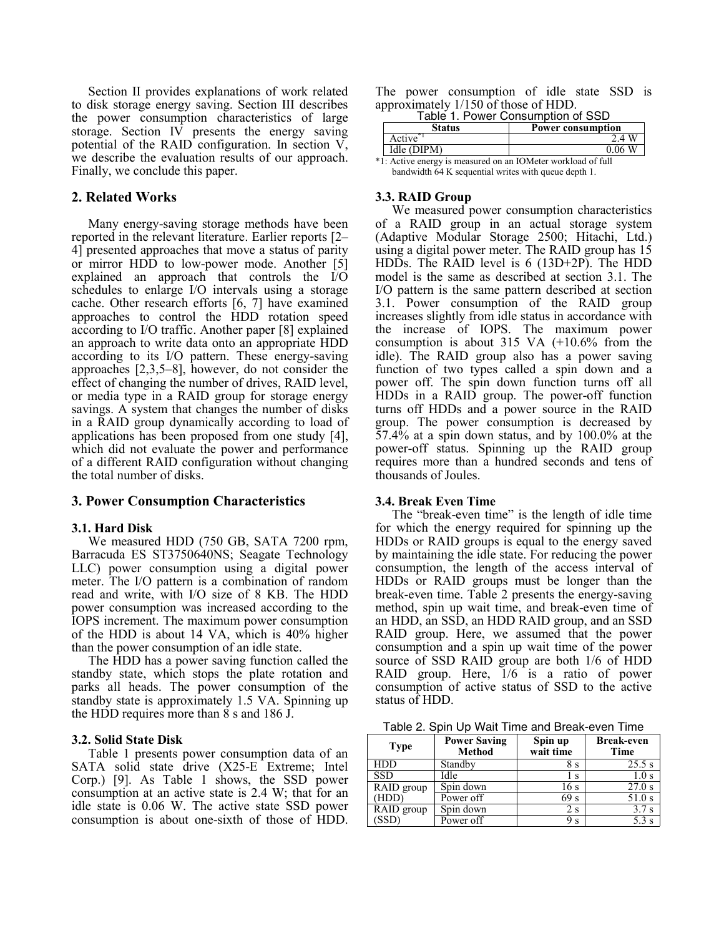Section II provides explanations of work related to disk storage energy saving. Section III describes the power consumption characteristics of large storage. Section IV presents the energy saving potential of the RAID configuration. In section V, we describe the evaluation results of our approach. Finally, we conclude this paper.

# **2. Related Works**

Many energy-saving storage methods have been reported in the relevant literature. Earlier reports [2– 4] presented approaches that move a status of parity or mirror HDD to low-power mode. Another [5] explained an approach that controls the I/O schedules to enlarge I/O intervals using a storage cache. Other research efforts [6, 7] have examined approaches to control the HDD rotation speed according to I/O traffic. Another paper [8] explained an approach to write data onto an appropriate HDD according to its I/O pattern. These energy-saving approaches [2,3,5–8], however, do not consider the effect of changing the number of drives, RAID level, or media type in a RAID group for storage energy savings. A system that changes the number of disks in a RAID group dynamically according to load of applications has been proposed from one study [4], which did not evaluate the power and performance of a different RAID configuration without changing the total number of disks.

## **3. Power Consumption Characteristics**

## **3.1. Hard Disk**

We measured HDD (750 GB, SATA 7200 rpm, Barracuda ES ST3750640NS; Seagate Technology LLC) power consumption using a digital power meter. The I/O pattern is a combination of random read and write, with I/O size of 8 KB. The HDD power consumption was increased according to the IOPS increment. The maximum power consumption of the HDD is about 14 VA, which is 40% higher than the power consumption of an idle state.

The HDD has a power saving function called the standby state, which stops the plate rotation and parks all heads. The power consumption of the standby state is approximately 1.5 VA. Spinning up the HDD requires more than 8 s and 186 J.

#### **3.2. Solid State Disk**

Table 1 presents power consumption data of an SATA solid state drive (X25-E Extreme; Intel Corp.) [9]. As Table 1 shows, the SSD power consumption at an active state is 2.4 W; that for an idle state is 0.06 W. The active state SSD power consumption is about one-sixth of those of HDD.

The power consumption of idle state SSD is approximately 1/150 of those of HDD. Table 1. Power Consumption of SSD

|        | Table 1. Power Consumption of SSD |
|--------|-----------------------------------|
| Status | <b>Power consumption</b>          |

|                                                              | otatus      | т омет сонзинирнон |  |
|--------------------------------------------------------------|-------------|--------------------|--|
|                                                              | Active      | $\overline{A}$     |  |
|                                                              | Idle (DIPM) | 0.06               |  |
| *1: Active energy is measured on an IOMeter workload of full |             |                    |  |

an IOMeter wor bandwidth 64 K sequential writes with queue depth 1.

#### **3.3. RAID Group**

We measured power consumption characteristics of a RAID group in an actual storage system (Adaptive Modular Storage 2500; Hitachi, Ltd.) using a digital power meter. The RAID group has 15 HDDs. The RAID level is 6 (13D+2P). The HDD model is the same as described at section 3.1. The I/O pattern is the same pattern described at section 3.1. Power consumption of the RAID group increases slightly from idle status in accordance with the increase of IOPS. The maximum power consumption is about 315 VA (+10.6% from the idle). The RAID group also has a power saving function of two types called a spin down and a power off. The spin down function turns off all HDDs in a RAID group. The power-off function turns off HDDs and a power source in the RAID group. The power consumption is decreased by 57.4% at a spin down status, and by 100.0% at the power-off status. Spinning up the RAID group requires more than a hundred seconds and tens of thousands of Joules.

#### **3.4. Break Even Time**

The "break-even time" is the length of idle time for which the energy required for spinning up the HDDs or RAID groups is equal to the energy saved by maintaining the idle state. For reducing the power consumption, the length of the access interval of HDDs or RAID groups must be longer than the break-even time. Table 2 presents the energy-saving method, spin up wait time, and break-even time of an HDD, an SSD, an HDD RAID group, and an SSD RAID group. Here, we assumed that the power consumption and a spin up wait time of the power source of SSD RAID group are both 1/6 of HDD RAID group. Here, 1/6 is a ratio of power consumption of active status of SSD to the active status of HDD.

Table 2. Spin Up Wait Time and Break-even Time

| <b>Type</b> | <b>Power Saving</b><br><b>Method</b> | Spin up<br>wait time | <b>Break-even</b><br><b>Time</b> |
|-------------|--------------------------------------|----------------------|----------------------------------|
| <b>HDD</b>  | Standby                              | 8 s                  | 25.5 s                           |
| <b>SSD</b>  | Idle                                 | S                    | 1.0 s                            |
| RAID group  | Spin down                            | 16 s                 | 27.0 s                           |
| (HDD)       | Power off                            | 69 <sub>s</sub>      | 51.0 s                           |
| RAID group  | Spin down                            | 2 s                  |                                  |
| (SSD)       | Power off                            | 9 s                  |                                  |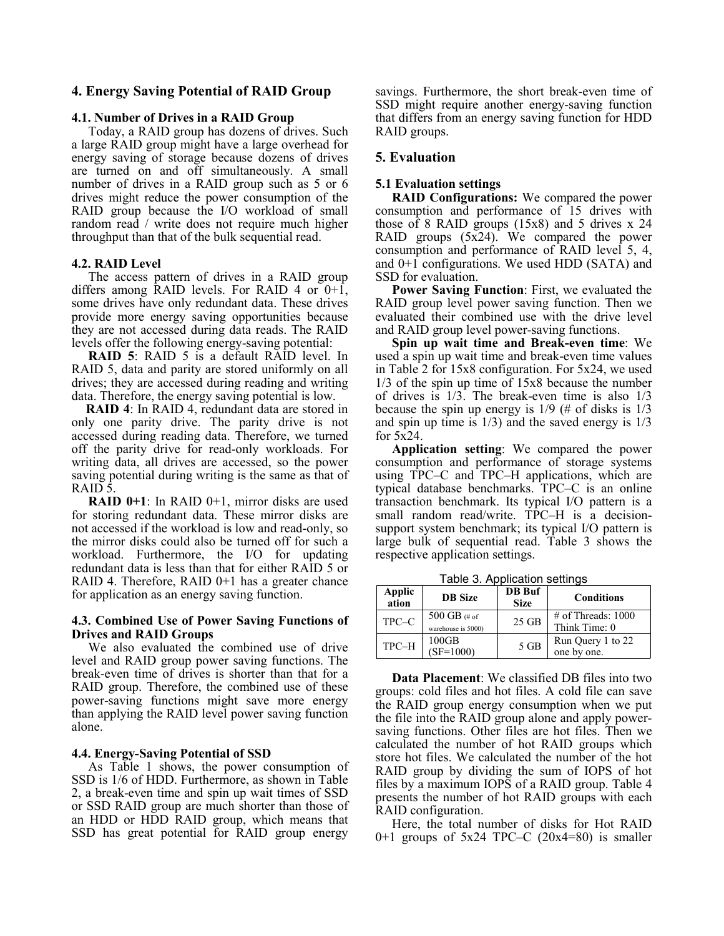# **4. Energy Saving Potential of RAID Group**

## **4.1. Number of Drives in a RAID Group**

Today, a RAID group has dozens of drives. Such a large RAID group might have a large overhead for energy saving of storage because dozens of drives are turned on and off simultaneously. A small number of drives in a RAID group such as 5 or 6 drives might reduce the power consumption of the RAID group because the I/O workload of small random read / write does not require much higher throughput than that of the bulk sequential read.

# **4.2. RAID Level**

The access pattern of drives in a RAID group differs among RAID levels. For RAID 4 or  $0+1$ , some drives have only redundant data. These drives provide more energy saving opportunities because they are not accessed during data reads. The RAID levels offer the following energy-saving potential:

**RAID 5**: RAID 5 is a default RAID level. In RAID 5, data and parity are stored uniformly on all drives; they are accessed during reading and writing data. Therefore, the energy saving potential is low.

**RAID 4**: In RAID 4, redundant data are stored in only one parity drive. The parity drive is not accessed during reading data. Therefore, we turned off the parity drive for read-only workloads. For writing data, all drives are accessed, so the power saving potential during writing is the same as that of RAID 5.

**RAID 0+1**: In RAID 0+1, mirror disks are used for storing redundant data. These mirror disks are not accessed if the workload is low and read-only, so the mirror disks could also be turned off for such a workload. Furthermore, the I/O for updating redundant data is less than that for either RAID 5 or RAID 4. Therefore, RAID 0+1 has a greater chance for application as an energy saving function.

# **4.3. Combined Use of Power Saving Functions of Drives and RAID Groups**

We also evaluated the combined use of drive level and RAID group power saving functions. The break-even time of drives is shorter than that for a RAID group. Therefore, the combined use of these power-saving functions might save more energy than applying the RAID level power saving function alone.

## **4.4. Energy-Saving Potential of SSD**

As Table 1 shows, the power consumption of SSD is 1/6 of HDD. Furthermore, as shown in Table 2, a break-even time and spin up wait times of SSD or SSD RAID group are much shorter than those of an HDD or HDD RAID group, which means that SSD has great potential for RAID group energy

savings. Furthermore, the short break-even time of SSD might require another energy-saving function that differs from an energy saving function for HDD RAID groups.

# **5. Evaluation**

## **5.1 Evaluation settings**

**RAID Configurations:** We compared the power consumption and performance of 15 drives with those of 8 RAID groups (15x8) and 5 drives x 24 RAID groups (5x24). We compared the power consumption and performance of RAID level 5, 4, and 0+1 configurations. We used HDD (SATA) and SSD for evaluation.

**Power Saving Function**: First, we evaluated the RAID group level power saving function. Then we evaluated their combined use with the drive level and RAID group level power-saving functions.

**Spin up wait time and Break-even time**: We used a spin up wait time and break-even time values in Table 2 for 15x8 configuration. For 5x24, we used 1/3 of the spin up time of 15x8 because the number of drives is 1/3. The break-even time is also 1/3 because the spin up energy is  $1/9$  (# of disks is  $1/3$ and spin up time is  $1/3$ ) and the saved energy is  $1/3$ for 5x24.

**Application setting**: We compared the power consumption and performance of storage systems using TPC–C and TPC–H applications, which are typical database benchmarks. TPC–C is an online transaction benchmark. Its typical I/O pattern is a small random read/write. TPC–H is a decisionsupport system benchmark; its typical I/O pattern is large bulk of sequential read. Table 3 shows the respective application settings.

Table 3. Application settings

| Applic<br>ation | <b>DB</b> Size                     | <b>DB</b> Buf<br><b>Size</b> | <b>Conditions</b>                      |
|-----------------|------------------------------------|------------------------------|----------------------------------------|
| TPC-C           | 500 GB (# of<br>warehouse is 5000) | $25$ GB                      | $\#$ of Threads: 1000<br>Think Time: 0 |
| TPC-H           | 100GB<br>$(SF=1000)$               | $5$ GB                       | Run Query 1 to 22<br>one by one.       |

**Data Placement**: We classified DB files into two groups: cold files and hot files. A cold file can save the RAID group energy consumption when we put the file into the RAID group alone and apply powersaving functions. Other files are hot files. Then we calculated the number of hot RAID groups which store hot files. We calculated the number of the hot RAID group by dividing the sum of IOPS of hot files by a maximum IOPS of a RAID group. Table 4 presents the number of hot RAID groups with each RAID configuration.

Here, the total number of disks for Hot RAID 0+1 groups of  $5x24$  TPC–C  $(20x4=80)$  is smaller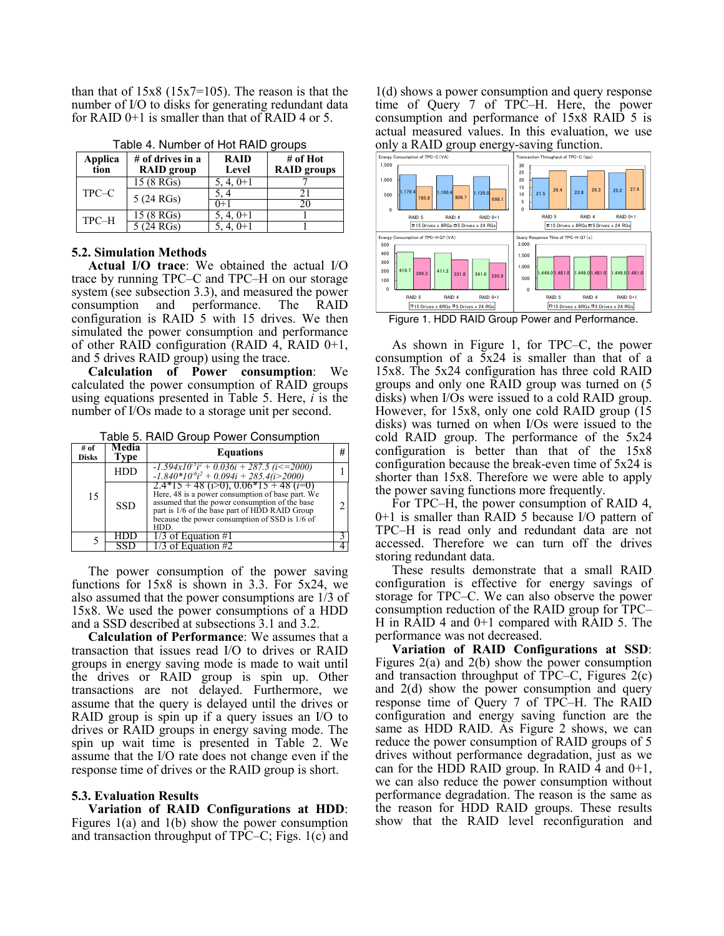than that of  $15x8$  ( $15x7=105$ ). The reason is that the number of I/O to disks for generating redundant data for RAID 0+1 is smaller than that of RAID 4 or 5.

| Applica<br>tion | # of drives in a<br><b>RAID</b> group | <b>RAID</b><br>Level | $#$ of Hot<br><b>RAID</b> groups |
|-----------------|---------------------------------------|----------------------|----------------------------------|
|                 | 15 (8 RGs)                            | $5, 4, 0+1$          |                                  |
| TPC-C           | 5 (24 RGs)                            | 5.4                  |                                  |
|                 |                                       | 0+1                  | 20                               |
| TPC-H           | 15 (8 RGs)                            | $5, 4, 0+1$          |                                  |
|                 | $\overline{5(24 \text{ RGs})}$        | $5, 4, 0+1$          |                                  |

Table 4. Number of Hot RAID groups

#### **5.2. Simulation Methods**

**Actual I/O trace**: We obtained the actual I/O trace by running TPC–C and TPC–H on our storage system (see subsection 3.3), and measured the power consumption and performance. The RAID configuration is RAID 5 with 15 drives. We then simulated the power consumption and performance of other RAID configuration (RAID  $4$ , RAID  $0+1$ , and 5 drives RAID group) using the trace.

**Calculation of Power consumption**: We calculated the power consumption of RAID groups using equations presented in Table 5. Here, *i* is the number of I/Os made to a storage unit per second.

Table 5. RAID Group Power Consumption

| # of<br><b>Disks</b> | Media<br>Type | <b>Equations</b>                                                                                                                                                                                                                                                  | # |
|----------------------|---------------|-------------------------------------------------------------------------------------------------------------------------------------------------------------------------------------------------------------------------------------------------------------------|---|
|                      | <b>HDD</b>    | $-1.594x10^{3}i^{2} + 0.036i + 287.5$ (i $\leq$ = 2000)<br>$-1.840*10^{6}i^{2} + 0.094i + 285.4(i > 2000)$                                                                                                                                                        |   |
| 15                   | <b>SSD</b>    | $2.4*15 + 48$ ( $1>0$ ), $0.06*15 + 48$ ( $i=0$<br>Here, 48 is a power consumption of base part. We<br>assumed that the power consumption of the base<br>part is 1/6 of the base part of HDD RAID Group<br>because the power consumption of SSD is 1/6 of<br>HDD. |   |
|                      |               | $1/3$ of Equation #1                                                                                                                                                                                                                                              |   |
|                      |               | 1/3 of Equation #2                                                                                                                                                                                                                                                |   |

The power consumption of the power saving functions for 15x8 is shown in 3.3. For 5x24, we also assumed that the power consumptions are 1/3 of 15x8. We used the power consumptions of a HDD and a SSD described at subsections 3.1 and 3.2.

**Calculation of Performance**: We assumes that a transaction that issues read I/O to drives or RAID groups in energy saving mode is made to wait until the drives or RAID group is spin up. Other transactions are not delayed. Furthermore, we assume that the query is delayed until the drives or RAID group is spin up if a query issues an I/O to drives or RAID groups in energy saving mode. The spin up wait time is presented in Table 2. We assume that the I/O rate does not change even if the response time of drives or the RAID group is short.

#### **5.3. Evaluation Results**

**Variation of RAID Configurations at HDD**: Figures 1(a) and 1(b) show the power consumption and transaction throughput of TPC–C; Figs. 1(c) and

1(d) shows a power consumption and query response time of Query 7 of TPC–H. Here, the power consumption and performance of 15x8 RAID 5 is actual measured values. In this evaluation, we use only a RAID group energy-saving function.



Figure 1. HDD RAID Group Power and Performance.

As shown in Figure 1, for TPC–C, the power consumption of a 5x24 is smaller than that of a 15x8. The 5x24 configuration has three cold RAID groups and only one RAID group was turned on (5 disks) when I/Os were issued to a cold RAID group. However, for 15x8, only one cold RAID group (15 disks) was turned on when I/Os were issued to the cold RAID group. The performance of the 5x24 configuration is better than that of the 15x8 configuration because the break-even time of 5x24 is shorter than 15x8. Therefore we were able to apply the power saving functions more frequently.

For TPC–H, the power consumption of RAID 4, 0+1 is smaller than RAID 5 because I/O pattern of TPC–H is read only and redundant data are not accessed. Therefore we can turn off the drives storing redundant data.

These results demonstrate that a small RAID configuration is effective for energy savings of storage for TPC–C. We can also observe the power consumption reduction of the RAID group for TPC– H in RAID 4 and 0+1 compared with RAID 5. The performance was not decreased.

**Variation of RAID Configurations at SSD**: Figures 2(a) and 2(b) show the power consumption and transaction throughput of TPC–C, Figures 2(c) and 2(d) show the power consumption and query response time of Query 7 of TPC–H. The RAID configuration and energy saving function are the same as HDD RAID. As Figure 2 shows, we can reduce the power consumption of RAID groups of 5 drives without performance degradation, just as we can for the HDD RAID group. In RAID 4 and  $0+1$ , we can also reduce the power consumption without performance degradation. The reason is the same as the reason for HDD RAID groups. These results show that the RAID level reconfiguration and